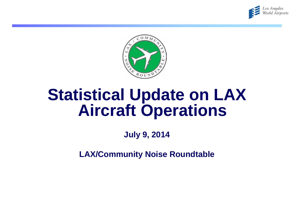



# **Statistical Update on LAX Aircraft Operations**

**July 9, 2014**

**LAX/Community Noise Roundtable**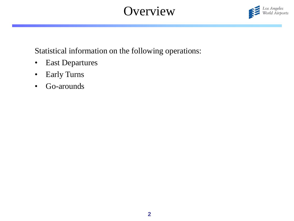# **Overview**



Statistical information on the following operations:

- East Departures
- Early Turns
- Go-arounds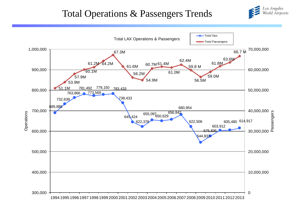# Total Operations & Passengers Trends



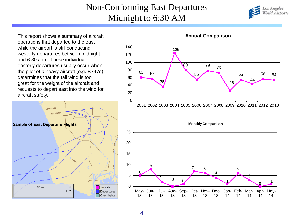#### Non-Conforming East Departures Midnight to 6:30 AM



This report shows a summary of aircraft operations that departed to the east while the airport is still conducting westerly departures between midnight and 6:30 a.m. These individual easterly departures usually occur when the pilot of a heavy aircraft (e.g. B747s) determines that the tail wind is too great for the weight of the aircraft and requests to depart east into the wind for aircraft safety.





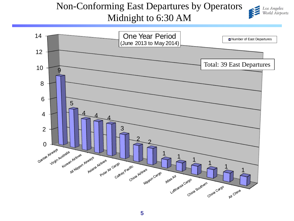# Non-Conforming East Departures by Operators Midnight to 6:30 AM



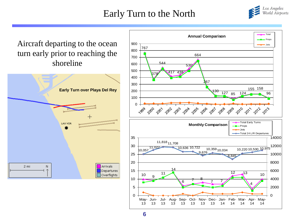# Early Turn to the North



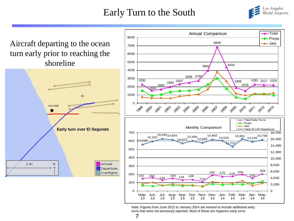## Early Turn to the South



Aircraft departing to the ocean turn early prior to reaching the shoreline





Note: Figures from June 2013 to January 2014 are revised to include additional early turns that were not previously reported. Most of these are Hyperion early turns.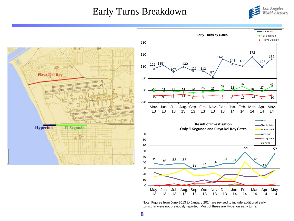#### Early Turns Breakdown





Note: Figures from June 2013 to January 2014 are revised to include additional early turns that were not previously reported. Most of these are Hyperion early turns.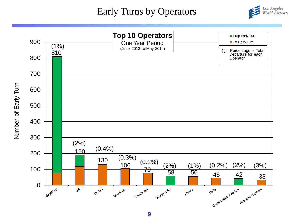#### Early Turns by Operators



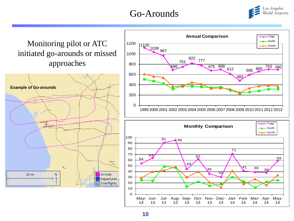# Go-Arounds



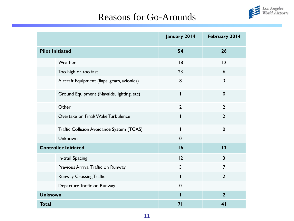

#### Reasons for Go-Arounds

|                                             | January 2014   | February 2014  |
|---------------------------------------------|----------------|----------------|
| <b>Pilot Initiated</b>                      | 54             | 26             |
| Weather                                     | 18             | 12             |
| Too high or too fast                        | 23             | 6              |
| Aircraft Equipment (flaps, gears, avionics) | 8              | $\overline{3}$ |
| Ground Equipment (Navaids, lighting, etc)   | I              | $\mathbf 0$    |
| Other                                       | $\overline{2}$ | $\overline{2}$ |
| Overtake on Final/Wake Turbulence           | ı              | $\overline{2}$ |
| Traffic Collision Avoidance System (TCAS)   | I              | $\mathbf 0$    |
| Unknown                                     | $\mathbf 0$    |                |
| <b>Controller Initiated</b>                 | 16             | 13             |
| In-trail Spacing                            | 2              | $\overline{3}$ |
| Previous Arrival Traffic on Runway          | 3              | $\overline{7}$ |
| <b>Runway Crossing Traffic</b>              | I              | $\overline{2}$ |
| Departure Traffic on Runway                 | $\mathbf 0$    |                |
| <b>Unknown</b>                              |                | $\overline{2}$ |
| <b>Total</b>                                | 71             | 4 <sub>1</sub> |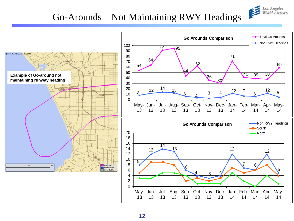#### Go-Arounds – Not Maintaining RWY Headings

Los Angeles<br>World Airports